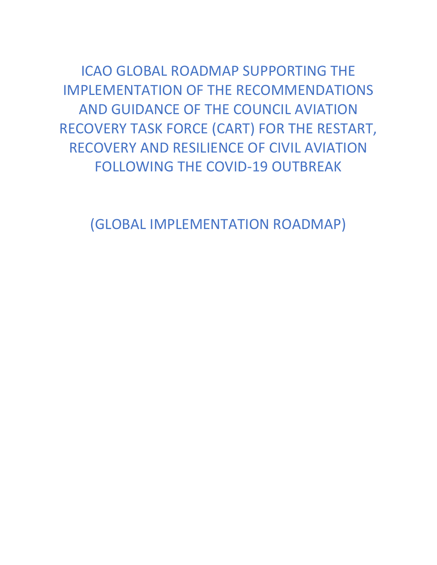ICAO GLOBAL ROADMAP SUPPORTING THE IMPLEMENTATION OF THE RECOMMENDATIONS AND GUIDANCE OF THE COUNCIL AVIATION RECOVERY TASK FORCE (CART) FOR THE RESTART, RECOVERY AND RESILIENCE OF CIVIL AVIATION FOLLOWING THE COVID-19 OUTBREAK

(GLOBAL IMPLEMENTATION ROADMAP)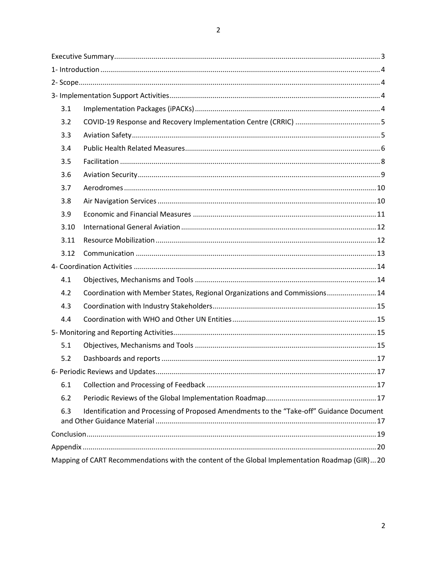| 3.1                                                                                             |                                                                            |  |  |
|-------------------------------------------------------------------------------------------------|----------------------------------------------------------------------------|--|--|
| 3.2                                                                                             |                                                                            |  |  |
| 3.3                                                                                             |                                                                            |  |  |
| 3.4                                                                                             |                                                                            |  |  |
| 3.5                                                                                             |                                                                            |  |  |
| 3.6                                                                                             |                                                                            |  |  |
| 3.7                                                                                             |                                                                            |  |  |
| 3.8                                                                                             |                                                                            |  |  |
| 3.9                                                                                             |                                                                            |  |  |
| 3.10                                                                                            |                                                                            |  |  |
| 3.11                                                                                            |                                                                            |  |  |
| 3.12                                                                                            |                                                                            |  |  |
|                                                                                                 |                                                                            |  |  |
| 4.1                                                                                             |                                                                            |  |  |
| 4.2                                                                                             | Coordination with Member States, Regional Organizations and Commissions 14 |  |  |
| 4.3                                                                                             |                                                                            |  |  |
| 4.4                                                                                             |                                                                            |  |  |
|                                                                                                 |                                                                            |  |  |
| 5.1                                                                                             |                                                                            |  |  |
| 5.2                                                                                             |                                                                            |  |  |
|                                                                                                 |                                                                            |  |  |
| 6.1                                                                                             |                                                                            |  |  |
| 6.2                                                                                             |                                                                            |  |  |
| Identification and Processing of Proposed Amendments to the "Take-off" Guidance Document<br>6.3 |                                                                            |  |  |
|                                                                                                 |                                                                            |  |  |
|                                                                                                 |                                                                            |  |  |
| Mapping of CART Recommendations with the content of the Global Implementation Roadmap (GIR)20   |                                                                            |  |  |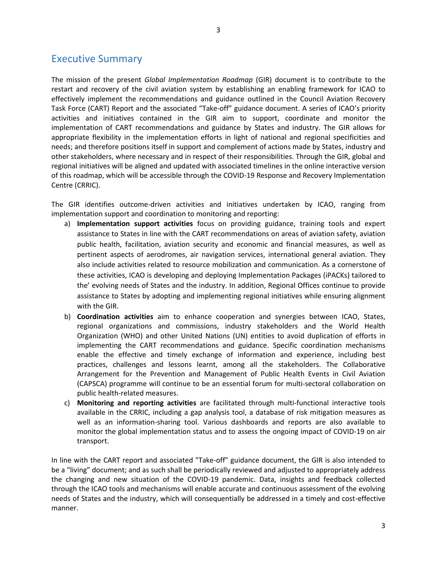# <span id="page-2-0"></span>Executive Summary

The mission of the present *Global Implementation Roadmap* (GIR) document is to contribute to the restart and recovery of the civil aviation system by establishing an enabling framework for ICAO to effectively implement the recommendations and guidance outlined in the Council Aviation Recovery Task Force (CART) Report and the associated "Take-off" guidance document. A series of ICAO's priority activities and initiatives contained in the GIR aim to support, coordinate and monitor the implementation of CART recommendations and guidance by States and industry. The GIR allows for appropriate flexibility in the implementation efforts in light of national and regional specificities and needs; and therefore positions itself in support and complement of actions made by States, industry and other stakeholders, where necessary and in respect of their responsibilities. Through the GIR, global and regional initiatives will be aligned and updated with associated timelines in the online interactive version of this roadmap, which will be accessible through the COVID-19 Response and Recovery Implementation Centre (CRRIC).

The GIR identifies outcome-driven activities and initiatives undertaken by ICAO, ranging from implementation support and coordination to monitoring and reporting:

- a) **Implementation support activities** focus on providing guidance, training tools and expert assistance to States in line with the CART recommendations on areas of aviation safety, aviation public health, facilitation, aviation security and economic and financial measures, as well as pertinent aspects of aerodromes, air navigation services, international general aviation. They also include activities related to resource mobilization and communication. As a cornerstone of these activities, ICAO is developing and deploying Implementation Packages (iPACKs) tailored to the' evolving needs of States and the industry. In addition, Regional Offices continue to provide assistance to States by adopting and implementing regional initiatives while ensuring alignment with the GIR.
- b) **Coordination activities** aim to enhance cooperation and synergies between ICAO, States, regional organizations and commissions, industry stakeholders and the World Health Organization (WHO) and other United Nations (UN) entities to avoid duplication of efforts in implementing the CART recommendations and guidance. Specific coordination mechanisms enable the effective and timely exchange of information and experience, including best practices, challenges and lessons learnt, among all the stakeholders. The Collaborative Arrangement for the Prevention and Management of Public Health Events in Civil Aviation (CAPSCA) programme will continue to be an essential forum for multi-sectoral collaboration on public health-related measures.
- c) **Monitoring and reporting activities** are facilitated through multi-functional interactive tools available in the CRRIC, including a gap analysis tool, a database of risk mitigation measures as well as an information-sharing tool. Various dashboards and reports are also available to monitor the global implementation status and to assess the ongoing impact of COVID-19 on air transport.

In line with the CART report and associated "Take-off" guidance document, the GIR is also intended to be a "living" document; and as such shall be periodically reviewed and adjusted to appropriately address the changing and new situation of the COVID-19 pandemic. Data, insights and feedback collected through the ICAO tools and mechanisms will enable accurate and continuous assessment of the evolving needs of States and the industry, which will consequentially be addressed in a timely and cost-effective manner.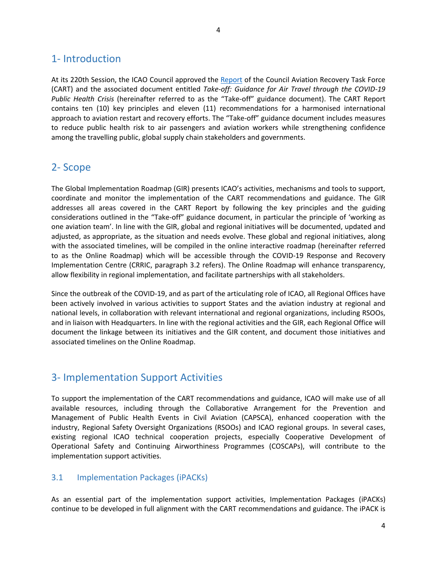# <span id="page-3-0"></span>1- Introduction

At its 220th Session, the ICAO Council approved the [Report](https://www.icao.int/covid/cart/Pages/default.aspx) of the Council Aviation Recovery Task Force (CART) and the associated document entitled *Take-off: Guidance for Air Travel through the COVID-19 Public Health Crisis* (hereinafter referred to as the "Take-off" guidance document). The CART Report contains ten (10) key principles and eleven (11) recommendations for a harmonised international approach to aviation restart and recovery efforts. The "Take-off" guidance document includes measures to reduce public health risk to air passengers and aviation workers while strengthening confidence among the travelling public, global supply chain stakeholders and governments.

# <span id="page-3-1"></span>2- Scope

The Global Implementation Roadmap (GIR) presents ICAO's activities, mechanisms and tools to support, coordinate and monitor the implementation of the CART recommendations and guidance. The GIR addresses all areas covered in the CART Report by following the key principles and the guiding considerations outlined in the "Take-off" guidance document, in particular the principle of 'working as one aviation team'. In line with the GIR, global and regional initiatives will be documented, updated and adjusted, as appropriate, as the situation and needs evolve. These global and regional initiatives, along with the associated timelines, will be compiled in the online interactive roadmap (hereinafter referred to as the Online Roadmap) which will be accessible through the COVID-19 Response and Recovery Implementation Centre (CRRIC, paragraph 3.2 refers). The Online Roadmap will enhance transparency, allow flexibility in regional implementation, and facilitate partnerships with all stakeholders.

Since the outbreak of the COVID-19, and as part of the articulating role of ICAO, all Regional Offices have been actively involved in various activities to support States and the aviation industry at regional and national levels, in collaboration with relevant international and regional organizations, including RSOOs, and in liaison with Headquarters. In line with the regional activities and the GIR, each Regional Office will document the linkage between its initiatives and the GIR content, and document those initiatives and associated timelines on the Online Roadmap.

# <span id="page-3-2"></span>3- Implementation Support Activities

To support the implementation of the CART recommendations and guidance, ICAO will make use of all available resources, including through the Collaborative Arrangement for the Prevention and Management of Public Health Events in Civil Aviation (CAPSCA), enhanced cooperation with the industry, Regional Safety Oversight Organizations (RSOOs) and ICAO regional groups. In several cases, existing regional ICAO technical cooperation projects, especially Cooperative Development of Operational Safety and Continuing Airworthiness Programmes (COSCAPs), will contribute to the implementation support activities.

#### <span id="page-3-3"></span>3.1 Implementation Packages (iPACKs)

As an essential part of the implementation support activities, Implementation Packages (iPACKs) continue to be developed in full alignment with the CART recommendations and guidance. The iPACK is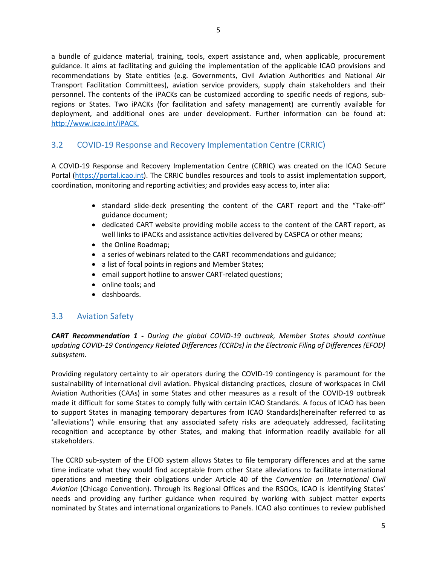a bundle of guidance material, training, tools, expert assistance and, when applicable, procurement guidance. It aims at facilitating and guiding the implementation of the applicable ICAO provisions and recommendations by State entities (e.g. Governments, Civil Aviation Authorities and National Air Transport Facilitation Committees), aviation service providers, supply chain stakeholders and their personnel. The contents of the iPACKs can be customized according to specific needs of regions, subregions or States. Two iPACKs (for facilitation and safety management) are currently available for deployment, and additional ones are under development. Further information can be found at: [http://www.icao.int/iPACK.](https://www.icao.int/secretariat/TechnicalCooperation/Pages/iPACK.aspx)

# <span id="page-4-0"></span>3.2 COVID-19 Response and Recovery Implementation Centre (CRRIC)

A COVID-19 Response and Recovery Implementation Centre (CRRIC) was created on the ICAO Secure Portal [\(https://portal.icao.int\)](https://portal.icao.int/). The CRRIC bundles resources and tools to assist implementation support, coordination, monitoring and reporting activities; and provides easy access to, inter alia:

- standard slide-deck presenting the content of the CART report and the "Take-off" guidance document;
- dedicated CART website providing mobile access to the content of the CART report, as well links to iPACKs and assistance activities delivered by CASPCA or other means;
- the Online Roadmap:
- a series of webinars related to the CART recommendations and guidance;
- a list of focal points in regions and Member States;
- email support hotline to answer CART-related questions;
- online tools; and
- dashboards.

#### <span id="page-4-1"></span>3.3 Aviation Safety

*CART Recommendation 1 - During the global COVID-19 outbreak, Member States should continue updating COVID-19 Contingency Related Differences (CCRDs) in the Electronic Filing of Differences (EFOD) subsystem.*

Providing regulatory certainty to air operators during the COVID-19 contingency is paramount for the sustainability of international civil aviation. Physical distancing practices, closure of workspaces in Civil Aviation Authorities (CAAs) in some States and other measures as a result of the COVID-19 outbreak made it difficult for some States to comply fully with certain ICAO Standards. A focus of ICAO has been to support States in managing temporary departures from ICAO Standards(hereinafter referred to as 'alleviations') while ensuring that any associated safety risks are adequately addressed, facilitating recognition and acceptance by other States, and making that information readily available for all stakeholders.

The CCRD sub-system of the EFOD system allows States to file temporary differences and at the same time indicate what they would find acceptable from other State alleviations to facilitate international operations and meeting their obligations under Article 40 of the *Convention on International Civil Aviation* (Chicago Convention). Through its Regional Offices and the RSOOs, ICAO is identifying States' needs and providing any further guidance when required by working with subject matter experts nominated by States and international organizations to Panels. ICAO also continues to review published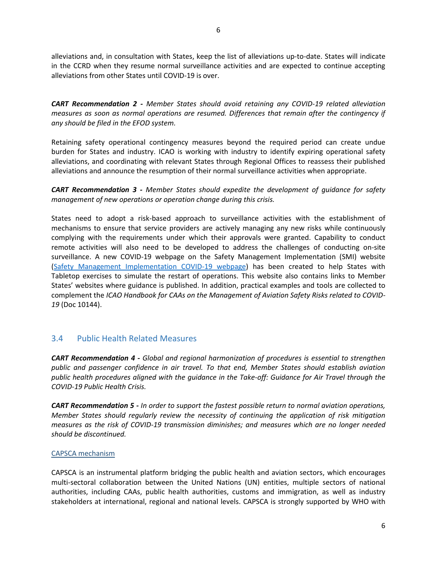alleviations and, in consultation with States, keep the list of alleviations up-to-date. States will indicate in the CCRD when they resume normal surveillance activities and are expected to continue accepting alleviations from other States until COVID-19 is over.

*CART Recommendation 2 - Member States should avoid retaining any COVID-19 related alleviation measures as soon as normal operations are resumed. Differences that remain after the contingency if any should be filed in the EFOD system.* 

Retaining safety operational contingency measures beyond the required period can create undue burden for States and industry. ICAO is working with industry to identify expiring operational safety alleviations, and coordinating with relevant States through Regional Offices to reassess their published alleviations and announce the resumption of their normal surveillance activities when appropriate.

*CART Recommendation 3 - Member States should expedite the development of guidance for safety management of new operations or operation change during this crisis.*

States need to adopt a risk-based approach to surveillance activities with the establishment of mechanisms to ensure that service providers are actively managing any new risks while continuously complying with the requirements under which their approvals were granted. Capability to conduct remote activities will also need to be developed to address the challenges of conducting on-site surveillance. A new COVID-19 webpage on the Safety Management Implementation (SMI) website [\(Safety Management Implementation COVID-19 webpage\)](https://www.unitingaviation.com/publications/safetymanagementimplementation/content/#/lessons/cHZW4YD184M_KUSyKemRIde_j6NYXjx0) has been created to help States with Tabletop exercises to simulate the restart of operations. This website also contains links to Member States' websites where guidance is published. In addition, practical examples and tools are collected to complement the *ICAO Handbook for CAAs on the Management of Aviation Safety Risks related to COVID-19* (Doc 10144).

#### <span id="page-5-0"></span>3.4 Public Health Related Measures

*CART Recommendation 4 - Global and regional harmonization of procedures is essential to strengthen public and passenger confidence in air travel. To that end, Member States should establish aviation public health procedures aligned with the guidance in the Take-off: Guidance for Air Travel through the COVID-19 Public Health Crisis.*

*CART Recommendation 5 - In order to support the fastest possible return to normal aviation operations, Member States should regularly review the necessity of continuing the application of risk mitigation measures as the risk of COVID-19 transmission diminishes; and measures which are no longer needed should be discontinued.*

#### CAPSCA mechanism

CAPSCA is an instrumental platform bridging the public health and aviation sectors, which encourages multi-sectoral collaboration between the United Nations (UN) entities, multiple sectors of national authorities, including CAAs, public health authorities, customs and immigration, as well as industry stakeholders at international, regional and national levels. CAPSCA is strongly supported by WHO with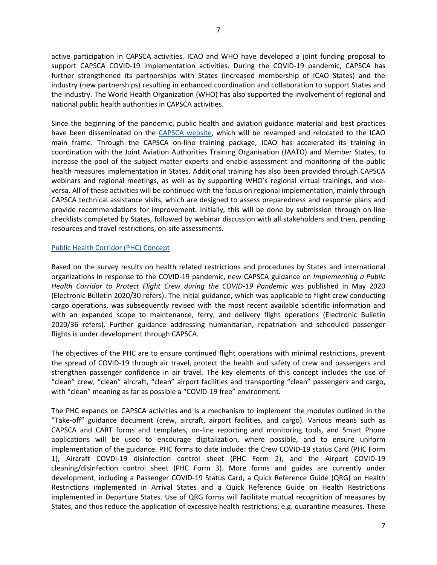active participation in CAPSCA activities. ICAO and WHO have developed a joint funding proposal to support CAPSCA COVID-19 implementation activities. During the COVID-19 pandemic, CAPSCA has further strengthened its partnerships with States (increased membership of ICAO States) and the industry (new partnerships) resulting in enhanced coordination and collaboration to support States and the industry. The World Health Organization (WHO) has also supported the involvement of regional and national public health authorities in CAPSCA activities.

Since the beginning of the pandemic, public health and aviation guidance material and best practices have been disseminated on the [CAPSCA website,](http://capsca.org/) which will be revamped and relocated to the ICAO main frame. Through the CAPSCA on-line training package, ICAO has accelerated its training in coordination with the Joint Aviation Authorities Training Organisation (JAATO) and Member States, to increase the pool of the subject matter experts and enable assessment and monitoring of the public health measures implementation in States. Additional training has also been provided through CAPSCA webinars and regional meetings, as well as by supporting WHO's regional virtual trainings, and viceversa. All of these activities will be continued with the focus on regional implementation, mainly through CAPSCA technical assistance visits, which are designed to assess preparedness and response plans and provide recommendations for improvement. Initially, this will be done by submission through on-line checklists completed by States, followed by webinar discussion with all stakeholders and then, pending resources and travel restrictions, on-site assessments.

#### Public Health Corridor (PHC) Concept

Based on the survey results on health related restrictions and procedures by States and international organizations in response to the COVID-19 pandemic, new CAPSCA guidance on *Implementing a Public Health Corridor to Protect Flight Crew during the COVID-19 Pandemic* was published in May 2020 (Electronic Bulletin 2020/30 refers). The initial guidance, which was applicable to flight crew conducting cargo operations, was subsequently revised with the most recent available scientific information and with an expanded scope to maintenance, ferry, and delivery flight operations (Electronic Bulletin 2020/36 refers). Further guidance addressing humanitarian, repatriation and scheduled passenger flights is under development through CAPSCA.

The objectives of the PHC are to ensure continued flight operations with minimal restrictions, prevent the spread of COVID-19 through air travel, protect the health and safety of crew and passengers and strengthen passenger confidence in air travel. The key elements of this concept includes the use of "clean" crew, "clean" aircraft, "clean" airport facilities and transporting "clean" passengers and cargo, with "clean" meaning as far as possible a "COVID-19 free" environment.

The PHC expands on CAPSCA activities and is a mechanism to implement the modules outlined in the "Take-off" guidance document (crew, aircraft, airport facilities, and cargo). Various means such as CAPSCA and CART forms and templates, on-line reporting and monitoring tools, and Smart Phone applications will be used to encourage digitalization, where possible, and to ensure uniform implementation of the guidance. PHC forms to date include: the Crew COVID-19 status Card (PHC Form 1); Aircraft COVDI-19 disinfection control sheet (PHC Form 2); and the Airport COVID-19 cleaning/disinfection control sheet (PHC Form 3). More forms and guides are currently under development, including a Passenger COVID-19 Status Card, a Quick Reference Guide (QRG) on Health Restrictions implemented in Arrival States and a Quick Reference Guide on Health Restrictions implemented in Departure States. Use of QRG forms will facilitate mutual recognition of measures by States, and thus reduce the application of excessive health restrictions, e.g. quarantine measures. These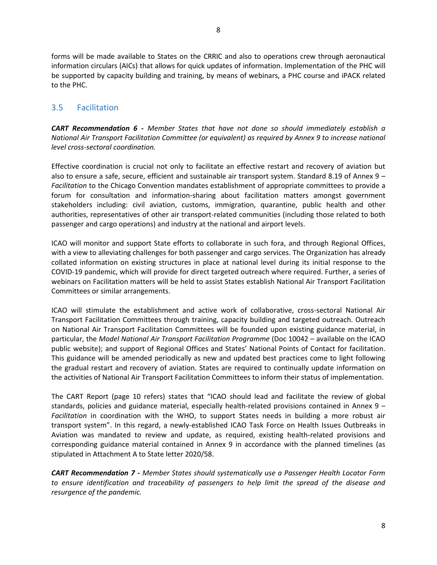forms will be made available to States on the CRRIC and also to operations crew through aeronautical information circulars (AICs) that allows for quick updates of information. Implementation of the PHC will be supported by capacity building and training, by means of webinars, a PHC course and iPACK related to the PHC.

#### <span id="page-7-0"></span>3.5 Facilitation

*CART Recommendation 6 - Member States that have not done so should immediately establish a National Air Transport Facilitation Committee (or equivalent) as required by Annex 9 to increase national level cross-sectoral coordination.*

Effective coordination is crucial not only to facilitate an effective restart and recovery of aviation but also to ensure a safe, secure, efficient and sustainable air transport system. Standard 8.19 of Annex 9 *– Facilitation* to the Chicago Convention mandates establishment of appropriate committees to provide a forum for consultation and information-sharing about facilitation matters amongst government stakeholders including: civil aviation, customs, immigration, quarantine, public health and other authorities, representatives of other air transport-related communities (including those related to both passenger and cargo operations) and industry at the national and airport levels.

ICAO will monitor and support State efforts to collaborate in such fora, and through Regional Offices, with a view to alleviating challenges for both passenger and cargo services. The Organization has already collated information on existing structures in place at national level during its initial response to the COVID-19 pandemic, which will provide for direct targeted outreach where required. Further, a series of webinars on Facilitation matters will be held to assist States establish National Air Transport Facilitation Committees or similar arrangements.

ICAO will stimulate the establishment and active work of collaborative, cross-sectoral National Air Transport Facilitation Committees through training, capacity building and targeted outreach. Outreach on National Air Transport Facilitation Committees will be founded upon existing guidance material, in particular, the *Model National Air Transport Facilitation Programme* (Doc 10042 – available on the ICAO public website); and support of Regional Offices and States' National Points of Contact for facilitation. This guidance will be amended periodically as new and updated best practices come to light following the gradual restart and recovery of aviation. States are required to continually update information on the activities of National Air Transport Facilitation Committees to inform their status of implementation.

The CART Report (page 10 refers) states that "ICAO should lead and facilitate the review of global standards, policies and guidance material, especially health-related provisions contained in Annex 9 – *Facilitation* in coordination with the WHO, to support States needs in building a more robust air transport system". In this regard, a newly-established ICAO Task Force on Health Issues Outbreaks in Aviation was mandated to review and update, as required, existing health-related provisions and corresponding guidance material contained in Annex 9 in accordance with the planned timelines (as stipulated in Attachment A to State letter 2020/58.

*CART Recommendation 7 - Member States should systematically use a Passenger Health Locator Form to ensure identification and traceability of passengers to help limit the spread of the disease and resurgence of the pandemic.*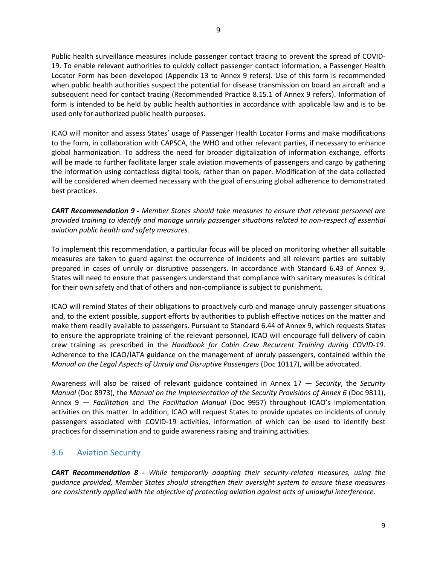Public health surveillance measures include passenger contact tracing to prevent the spread of COVID-19. To enable relevant authorities to quickly collect passenger contact information, a Passenger Health Locator Form has been developed (Appendix 13 to Annex 9 refers). Use of this form is recommended when public health authorities suspect the potential for disease transmission on board an aircraft and a subsequent need for contact tracing (Recommended Practice 8.15.1 of Annex 9 refers). Information of form is intended to be held by public health authorities in accordance with applicable law and is to be used only for authorized public health purposes.

ICAO will monitor and assess States' usage of Passenger Health Locator Forms and make modifications to the form, in collaboration with CAPSCA, the WHO and other relevant parties, if necessary to enhance global harmonization. To address the need for broader digitalization of information exchange, efforts will be made to further facilitate larger scale aviation movements of passengers and cargo by gathering the information using contactless digital tools, rather than on paper. Modification of the data collected will be considered when deemed necessary with the goal of ensuring global adherence to demonstrated best practices.

*CART Recommendation 9 - Member States should take measures to ensure that relevant personnel are provided training to identify and manage unruly passenger situations related to non-respect of essential aviation public health and safety measures.*

To implement this recommendation, a particular focus will be placed on monitoring whether all suitable measures are taken to guard against the occurrence of incidents and all relevant parties are suitably prepared in cases of unruly or disruptive passengers. In accordance with Standard 6.43 of Annex 9, States will need to ensure that passengers understand that compliance with sanitary measures is critical for their own safety and that of others and non-compliance is subject to punishment.

ICAO will remind States of their obligations to proactively curb and manage unruly passenger situations and, to the extent possible, support efforts by authorities to publish effective notices on the matter and make them readily available to passengers. Pursuant to Standard 6.44 of Annex 9, which requests States to ensure the appropriate training of the relevant personnel, ICAO will encourage full delivery of cabin crew training as prescribed in the *Handbook for Cabin Crew Recurrent Training during COVID-19*. Adherence to the ICAO/IATA guidance on the management of unruly passengers, contained within the *Manual on the Legal Aspects of Unruly and Disruptive Passengers* (Doc 10117), will be advocated.

Awareness will also be raised of relevant guidance contained in Annex 17 — *Security*, the *Security Manual* (Doc 8973), the *Manual on the Implementation of the Security Provisions of Annex 6* (Doc 9811), Annex 9 — *Facilitation* and *The Facilitation Manual* (Doc 9957) throughout ICAO's implementation activities on this matter. In addition, ICAO will request States to provide updates on incidents of unruly passengers associated with COVID-19 activities, information of which can be used to identify best practices for dissemination and to guide awareness raising and training activities.

## <span id="page-8-0"></span>3.6 Aviation Security

*CART Recommendation 8 - While temporarily adapting their security-related measures, using the guidance provided, Member States should strengthen their oversight system to ensure these measures are consistently applied with the objective of protecting aviation against acts of unlawful interference.*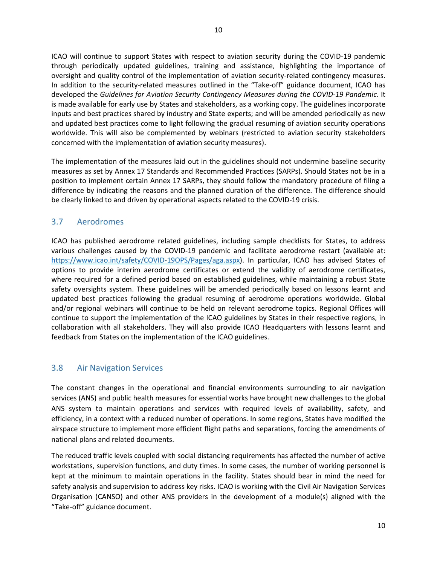10

ICAO will continue to support States with respect to aviation security during the COVID-19 pandemic through periodically updated guidelines, training and assistance, highlighting the importance of oversight and quality control of the implementation of aviation security-related contingency measures. In addition to the security-related measures outlined in the "Take-off" guidance document, ICAO has developed the *Guidelines for Aviation Security Contingency Measures during the COVID-19 Pandemic.* It is made available for early use by States and stakeholders, as a working copy. The guidelines incorporate inputs and best practices shared by industry and State experts; and will be amended periodically as new and updated best practices come to light following the gradual resuming of aviation security operations worldwide. This will also be complemented by webinars (restricted to aviation security stakeholders concerned with the implementation of aviation security measures).

The implementation of the measures laid out in the guidelines should not undermine baseline security measures as set by Annex 17 Standards and Recommended Practices (SARPs). Should States not be in a position to implement certain Annex 17 SARPs, they should follow the mandatory procedure of filing a difference by indicating the reasons and the planned duration of the difference. The difference should be clearly linked to and driven by operational aspects related to the COVID-19 crisis.

# <span id="page-9-0"></span>3.7 Aerodromes

ICAO has published aerodrome related guidelines, including sample checklists for States, to address various challenges caused by the COVID-19 pandemic and facilitate aerodrome restart (available at: [https://www.icao.int/safety/COVID-19OPS/Pages/aga.aspx\)](https://www.icao.int/safety/COVID-19OPS/Pages/aga.aspx). In particular, ICAO has advised States of options to provide interim aerodrome certificates or extend the validity of aerodrome certificates, where required for a defined period based on established guidelines, while maintaining a robust State safety oversights system. These guidelines will be amended periodically based on lessons learnt and updated best practices following the gradual resuming of aerodrome operations worldwide. Global and/or regional webinars will continue to be held on relevant aerodrome topics. Regional Offices will continue to support the implementation of the ICAO guidelines by States in their respective regions, in collaboration with all stakeholders. They will also provide ICAO Headquarters with lessons learnt and feedback from States on the implementation of the ICAO guidelines.

## <span id="page-9-1"></span>3.8 Air Navigation Services

The constant changes in the operational and financial environments surrounding to air navigation services (ANS) and public health measures for essential works have brought new challenges to the global ANS system to maintain operations and services with required levels of availability, safety, and efficiency, in a context with a reduced number of operations. In some regions, States have modified the airspace structure to implement more efficient flight paths and separations, forcing the amendments of national plans and related documents.

The reduced traffic levels coupled with social distancing requirements has affected the number of active workstations, supervision functions, and duty times. In some cases, the number of working personnel is kept at the minimum to maintain operations in the facility. States should bear in mind the need for safety analysis and supervision to address key risks. ICAO is working with the Civil Air Navigation Services Organisation (CANSO) and other ANS providers in the development of a module(s) aligned with the "Take-off" guidance document.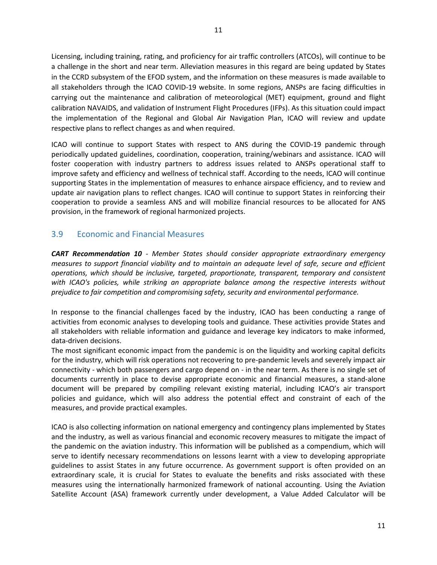Licensing, including training, rating, and proficiency for air traffic controllers (ATCOs), will continue to be a challenge in the short and near term. Alleviation measures in this regard are being updated by States in the CCRD subsystem of the EFOD system, and the information on these measures is made available to all stakeholders through the ICAO COVID-19 website. In some regions, ANSPs are facing difficulties in carrying out the maintenance and calibration of meteorological (MET) equipment, ground and flight calibration NAVAIDS, and validation of Instrument Flight Procedures (IFPs). As this situation could impact the implementation of the Regional and Global Air Navigation Plan, ICAO will review and update respective plans to reflect changes as and when required.

ICAO will continue to support States with respect to ANS during the COVID-19 pandemic through periodically updated guidelines, coordination, cooperation, training/webinars and assistance. ICAO will foster cooperation with industry partners to address issues related to ANSPs operational staff to improve safety and efficiency and wellness of technical staff. According to the needs, ICAO will continue supporting States in the implementation of measures to enhance airspace efficiency, and to review and update air navigation plans to reflect changes. ICAO will continue to support States in reinforcing their cooperation to provide a seamless ANS and will mobilize financial resources to be allocated for ANS provision, in the framework of regional harmonized projects.

## <span id="page-10-0"></span>3.9 Economic and Financial Measures

*CART Recommendation 10 - Member States should consider appropriate extraordinary emergency measures to support financial viability and to maintain an adequate level of safe, secure and efficient operations, which should be inclusive, targeted, proportionate, transparent, temporary and consistent with ICAO's policies, while striking an appropriate balance among the respective interests without prejudice to fair competition and compromising safety, security and environmental performance.*

In response to the financial challenges faced by the industry, ICAO has been conducting a range of activities from economic analyses to developing tools and guidance. These activities provide States and all stakeholders with reliable information and guidance and leverage key indicators to make informed, data-driven decisions.

The most significant economic impact from the pandemic is on the liquidity and working capital deficits for the industry, which will risk operations not recovering to pre-pandemic levels and severely impact air connectivity - which both passengers and cargo depend on - in the near term. As there is no single set of documents currently in place to devise appropriate economic and financial measures, a stand-alone document will be prepared by compiling relevant existing material, including ICAO's air transport policies and guidance, which will also address the potential effect and constraint of each of the measures, and provide practical examples.

ICAO is also collecting information on national emergency and contingency plans implemented by States and the industry, as well as various financial and economic recovery measures to mitigate the impact of the pandemic on the aviation industry. This information will be published as a compendium, which will serve to identify necessary recommendations on lessons learnt with a view to developing appropriate guidelines to assist States in any future occurrence. As government support is often provided on an extraordinary scale, it is crucial for States to evaluate the benefits and risks associated with these measures using the internationally harmonized framework of national accounting. Using the Aviation Satellite Account (ASA) framework currently under development, a Value Added Calculator will be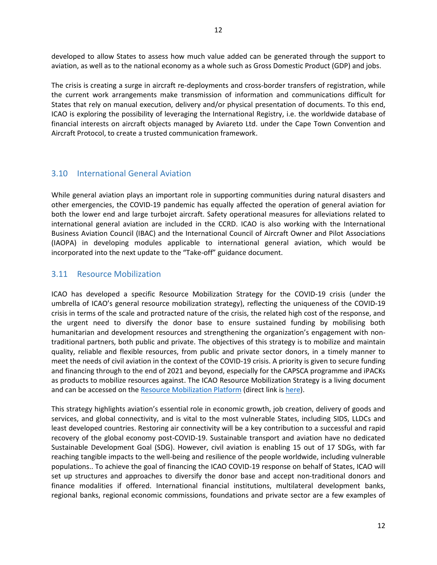developed to allow States to assess how much value added can be generated through the support to aviation, as well as to the national economy as a whole such as Gross Domestic Product (GDP) and jobs.

The crisis is creating a surge in aircraft re-deployments and cross-border transfers of registration, while the current work arrangements make transmission of information and communications difficult for States that rely on manual execution, delivery and/or physical presentation of documents. To this end, ICAO is exploring the possibility of leveraging the International Registry, i.e. the worldwide database of financial interests on aircraft objects managed by Aviareto Ltd. under the Cape Town Convention and Aircraft Protocol, to create a trusted communication framework.

#### <span id="page-11-0"></span>3.10 International General Aviation

While general aviation plays an important role in supporting communities during natural disasters and other emergencies, the COVID-19 pandemic has equally affected the operation of general aviation for both the lower end and large turbojet aircraft. Safety operational measures for alleviations related to international general aviation are included in the CCRD. ICAO is also working with the International Business Aviation Council (IBAC) and the International Council of Aircraft Owner and Pilot Associations (IAOPA) in developing modules applicable to international general aviation, which would be incorporated into the next update to the "Take-off" guidance document.

#### <span id="page-11-1"></span>3.11 Resource Mobilization

ICAO has developed a specific Resource Mobilization Strategy for the COVID-19 crisis (under the umbrella of ICAO's general resource mobilization strategy), reflecting the uniqueness of the COVID-19 crisis in terms of the scale and protracted nature of the crisis, the related high cost of the response, and the urgent need to diversify the donor base to ensure sustained funding by mobilising both humanitarian and development resources and strengthening the organization's engagement with nontraditional partners, both public and private. The objectives of this strategy is to mobilize and maintain quality, reliable and flexible resources, from public and private sector donors, in a timely manner to meet the needs of civil aviation in the context of the COVID-19 crisis. A priority is given to secure funding and financing through to the end of 2021 and beyond, especially for the CAPSCA programme and iPACKs as products to mobilize resources against. The ICAO Resource Mobilization Strategy is a living document and can be accessed on the [Resource Mobilization Platform](https://oaci.sharepoint.com/sites/SPCPSite/ResourceMobilization/SitePages/Home.aspx) (direct link is [here\)](https://oaci.sharepoint.com/:w:/r/sites/SPCPSite/ResourceMobilization/Advocacy_Docs/SPCP%20RM%20Strategy%20COVID-19.docx?d=wee42f927490a46db9c2e79de6bf5a933&csf=1&web=1&e=zKOpXP).

This strategy highlights aviation's essential role in economic growth, job creation, delivery of goods and services, and global connectivity, and is vital to the most vulnerable States, including SIDS, LLDCs and least developed countries. Restoring air connectivity will be a key contribution to a successful and rapid recovery of the global economy post-COVID-19. Sustainable transport and aviation have no dedicated Sustainable Development Goal (SDG). However, civil aviation is enabling 15 out of 17 SDGs, with far reaching tangible impacts to the well-being and resilience of the people worldwide, including vulnerable populations.. To achieve the goal of financing the ICAO COVID-19 response on behalf of States, ICAO will set up structures and approaches to diversify the donor base and accept non-traditional donors and finance modalities if offered. International financial institutions, multilateral development banks, regional banks, regional economic commissions, foundations and private sector are a few examples of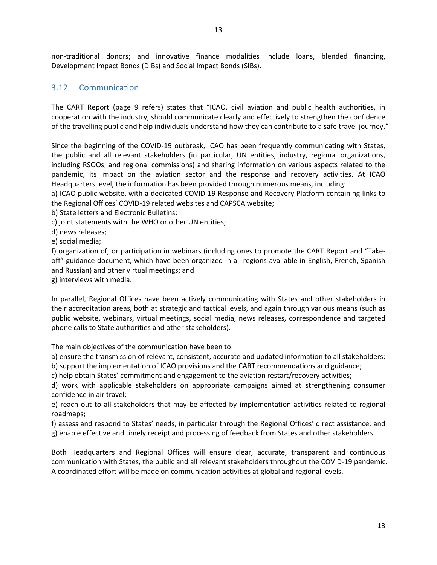13

non-traditional donors; and innovative finance modalities include loans, blended financing, Development Impact Bonds (DIBs) and Social Impact Bonds (SIBs).

#### <span id="page-12-0"></span>3.12 Communication

The CART Report (page 9 refers) states that "ICAO, civil aviation and public health authorities, in cooperation with the industry, should communicate clearly and effectively to strengthen the confidence of the travelling public and help individuals understand how they can contribute to a safe travel journey."

Since the beginning of the COVID-19 outbreak, ICAO has been frequently communicating with States, the public and all relevant stakeholders (in particular, UN entities, industry, regional organizations, including RSOOs, and regional commissions) and sharing information on various aspects related to the pandemic, its impact on the aviation sector and the response and recovery activities. At ICAO Headquarters level, the information has been provided through numerous means, including:

a) ICAO public website, with a dedicated COVID-19 Response and Recovery Platform containing links to the Regional Offices' COVID-19 related websites and CAPSCA website;

b) State letters and Electronic Bulletins;

c) joint statements with the WHO or other UN entities;

d) news releases;

e) social media;

f) organization of, or participation in webinars (including ones to promote the CART Report and "Takeoff" guidance document, which have been organized in all regions available in English, French, Spanish and Russian) and other virtual meetings; and

g) interviews with media.

In parallel, Regional Offices have been actively communicating with States and other stakeholders in their accreditation areas, both at strategic and tactical levels, and again through various means (such as public website, webinars, virtual meetings, social media, news releases, correspondence and targeted phone calls to State authorities and other stakeholders).

The main objectives of the communication have been to:

a) ensure the transmission of relevant, consistent, accurate and updated information to all stakeholders;

b) support the implementation of ICAO provisions and the CART recommendations and guidance;

c) help obtain States' commitment and engagement to the aviation restart/recovery activities;

d) work with applicable stakeholders on appropriate campaigns aimed at strengthening consumer confidence in air travel;

e) reach out to all stakeholders that may be affected by implementation activities related to regional roadmaps;

f) assess and respond to States' needs, in particular through the Regional Offices' direct assistance; and g) enable effective and timely receipt and processing of feedback from States and other stakeholders.

Both Headquarters and Regional Offices will ensure clear, accurate, transparent and continuous communication with States, the public and all relevant stakeholders throughout the COVID-19 pandemic. A coordinated effort will be made on communication activities at global and regional levels.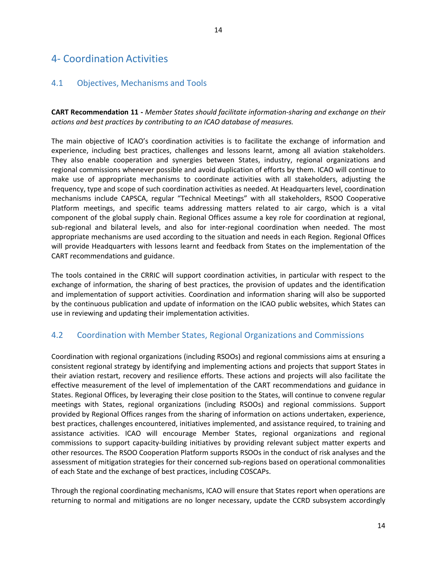## <span id="page-13-1"></span><span id="page-13-0"></span>4.1 Objectives, Mechanisms and Tools

**CART Recommendation 11 -** *Member States should facilitate information-sharing and exchange on their actions and best practices by contributing to an ICAO database of measures.*

The main objective of ICAO's coordination activities is to facilitate the exchange of information and experience, including best practices, challenges and lessons learnt, among all aviation stakeholders. They also enable cooperation and synergies between States, industry, regional organizations and regional commissions whenever possible and avoid duplication of efforts by them. ICAO will continue to make use of appropriate mechanisms to coordinate activities with all stakeholders, adjusting the frequency, type and scope of such coordination activities as needed. At Headquarters level, coordination mechanisms include CAPSCA, regular "Technical Meetings" with all stakeholders, RSOO Cooperative Platform meetings, and specific teams addressing matters related to air cargo, which is a vital component of the global supply chain. Regional Offices assume a key role for coordination at regional, sub-regional and bilateral levels, and also for inter-regional coordination when needed. The most appropriate mechanisms are used according to the situation and needs in each Region. Regional Offices will provide Headquarters with lessons learnt and feedback from States on the implementation of the CART recommendations and guidance.

The tools contained in the CRRIC will support coordination activities, in particular with respect to the exchange of information, the sharing of best practices, the provision of updates and the identification and implementation of support activities. Coordination and information sharing will also be supported by the continuous publication and update of information on the ICAO public websites, which States can use in reviewing and updating their implementation activities.

# <span id="page-13-2"></span>4.2 Coordination with Member States, Regional Organizations and Commissions

Coordination with regional organizations (including RSOOs) and regional commissions aims at ensuring a consistent regional strategy by identifying and implementing actions and projects that support States in their aviation restart, recovery and resilience efforts. These actions and projects will also facilitate the effective measurement of the level of implementation of the CART recommendations and guidance in States. Regional Offices, by leveraging their close position to the States, will continue to convene regular meetings with States, regional organizations (including RSOOs) and regional commissions. Support provided by Regional Offices ranges from the sharing of information on actions undertaken, experience, best practices, challenges encountered, initiatives implemented, and assistance required, to training and assistance activities. ICAO will encourage Member States, regional organizations and regional commissions to support capacity-building initiatives by providing relevant subject matter experts and other resources. The RSOO Cooperation Platform supports RSOOs in the conduct of risk analyses and the assessment of mitigation strategies for their concerned sub-regions based on operational commonalities of each State and the exchange of best practices, including COSCAPs.

Through the regional coordinating mechanisms, ICAO will ensure that States report when operations are returning to normal and mitigations are no longer necessary, update the CCRD subsystem accordingly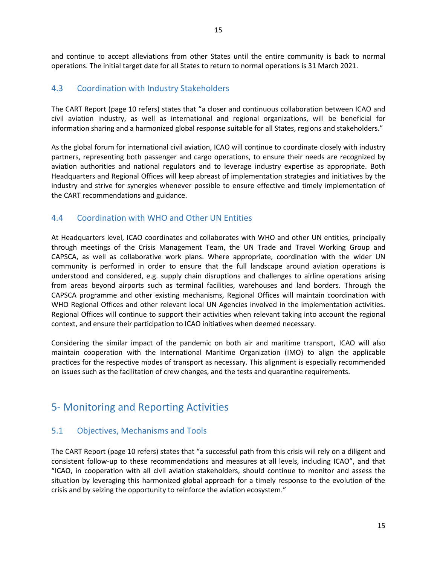and continue to accept alleviations from other States until the entire community is back to normal operations. The initial target date for all States to return to normal operations is 31 March 2021.

## <span id="page-14-0"></span>4.3 Coordination with Industry Stakeholders

The CART Report (page 10 refers) states that "a closer and continuous collaboration between ICAO and civil aviation industry, as well as international and regional organizations, will be beneficial for information sharing and a harmonized global response suitable for all States, regions and stakeholders."

As the global forum for international civil aviation, ICAO will continue to coordinate closely with industry partners, representing both passenger and cargo operations, to ensure their needs are recognized by aviation authorities and national regulators and to leverage industry expertise as appropriate. Both Headquarters and Regional Offices will keep abreast of implementation strategies and initiatives by the industry and strive for synergies whenever possible to ensure effective and timely implementation of the CART recommendations and guidance.

## <span id="page-14-1"></span>4.4 Coordination with WHO and Other UN Entities

At Headquarters level, ICAO coordinates and collaborates with WHO and other UN entities, principally through meetings of the Crisis Management Team, the UN Trade and Travel Working Group and CAPSCA, as well as collaborative work plans. Where appropriate, coordination with the wider UN community is performed in order to ensure that the full landscape around aviation operations is understood and considered, e.g. supply chain disruptions and challenges to airline operations arising from areas beyond airports such as terminal facilities, warehouses and land borders. Through the CAPSCA programme and other existing mechanisms, Regional Offices will maintain coordination with WHO Regional Offices and other relevant local UN Agencies involved in the implementation activities. Regional Offices will continue to support their activities when relevant taking into account the regional context, and ensure their participation to ICAO initiatives when deemed necessary.

Considering the similar impact of the pandemic on both air and maritime transport, ICAO will also maintain cooperation with the International Maritime Organization (IMO) to align the applicable practices for the respective modes of transport as necessary. This alignment is especially recommended on issues such as the facilitation of crew changes, and the tests and quarantine requirements.

# <span id="page-14-2"></span>5- Monitoring and Reporting Activities

## <span id="page-14-3"></span>5.1 Objectives, Mechanisms and Tools

The CART Report (page 10 refers) states that "a successful path from this crisis will rely on a diligent and consistent follow-up to these recommendations and measures at all levels, including ICAO", and that "ICAO, in cooperation with all civil aviation stakeholders, should continue to monitor and assess the situation by leveraging this harmonized global approach for a timely response to the evolution of the crisis and by seizing the opportunity to reinforce the aviation ecosystem."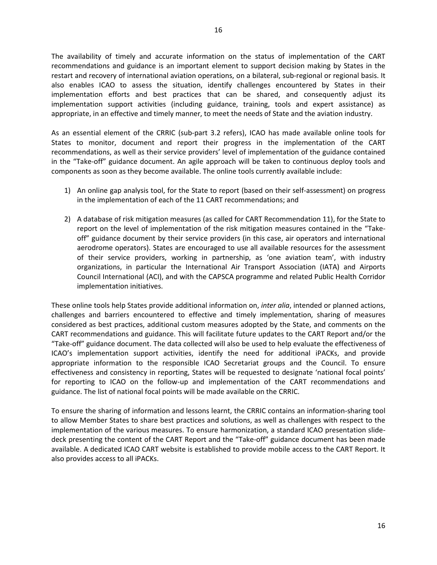The availability of timely and accurate information on the status of implementation of the CART recommendations and guidance is an important element to support decision making by States in the restart and recovery of international aviation operations, on a bilateral, sub-regional or regional basis. It also enables ICAO to assess the situation, identify challenges encountered by States in their implementation efforts and best practices that can be shared, and consequently adjust its implementation support activities (including guidance, training, tools and expert assistance) as appropriate, in an effective and timely manner, to meet the needs of State and the aviation industry.

As an essential element of the CRRIC (sub-part 3.2 refers), ICAO has made available online tools for States to monitor, document and report their progress in the implementation of the CART recommendations, as well as their service providers' level of implementation of the guidance contained in the "Take-off" guidance document. An agile approach will be taken to continuous deploy tools and components as soon as they become available. The online tools currently available include:

- 1) An online gap analysis tool, for the State to report (based on their self-assessment) on progress in the implementation of each of the 11 CART recommendations; and
- 2) A database of risk mitigation measures (as called for CART Recommendation 11), for the State to report on the level of implementation of the risk mitigation measures contained in the "Takeoff" guidance document by their service providers (in this case, air operators and international aerodrome operators). States are encouraged to use all available resources for the assessment of their service providers, working in partnership, as 'one aviation team', with industry organizations, in particular the International Air Transport Association (IATA) and Airports Council International (ACI), and with the CAPSCA programme and related Public Health Corridor implementation initiatives.

These online tools help States provide additional information on, *inter alia*, intended or planned actions, challenges and barriers encountered to effective and timely implementation, sharing of measures considered as best practices, additional custom measures adopted by the State, and comments on the CART recommendations and guidance. This will facilitate future updates to the CART Report and/or the "Take-off" guidance document. The data collected will also be used to help evaluate the effectiveness of ICAO's implementation support activities, identify the need for additional iPACKs, and provide appropriate information to the responsible ICAO Secretariat groups and the Council. To ensure effectiveness and consistency in reporting, States will be requested to designate 'national focal points' for reporting to ICAO on the follow-up and implementation of the CART recommendations and guidance. The list of national focal points will be made available on the CRRIC.

To ensure the sharing of information and lessons learnt, the CRRIC contains an information-sharing tool to allow Member States to share best practices and solutions, as well as challenges with respect to the implementation of the various measures. To ensure harmonization, a standard ICAO presentation slidedeck presenting the content of the CART Report and the "Take-off" guidance document has been made available. A dedicated ICAO CART website is established to provide mobile access to the CART Report. It also provides access to all iPACKs.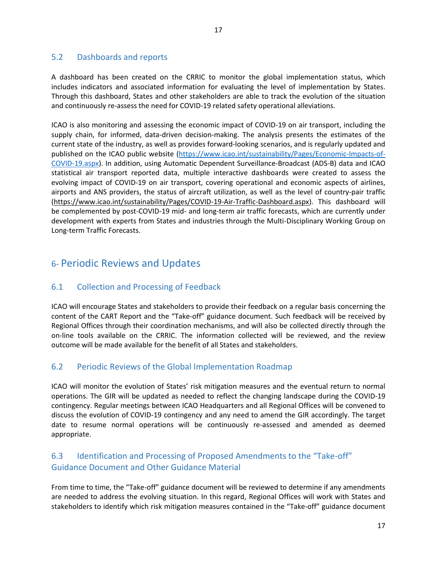<span id="page-16-0"></span>A dashboard has been created on the CRRIC to monitor the global implementation status, which includes indicators and associated information for evaluating the level of implementation by States. Through this dashboard, States and other stakeholders are able to track the evolution of the situation and continuously re-assess the need for COVID-19 related safety operational alleviations.

ICAO is also monitoring and assessing the economic impact of COVID-19 on air transport, including the supply chain, for informed, data-driven decision-making. The analysis presents the estimates of the current state of the industry, as well as provides forward-looking scenarios, and is regularly updated and published on the ICAO public website [\(https://www.icao.int/sustainability/Pages/Economic-Impacts-of-](https://www.icao.int/sustainability/Pages/Economic-Impacts-of-COVID-19.aspx)[COVID-19.aspx\)](https://www.icao.int/sustainability/Pages/Economic-Impacts-of-COVID-19.aspx). In addition, using Automatic Dependent Surveillance-Broadcast (ADS-B) data and ICAO statistical air transport reported data, multiple interactive dashboards were created to assess the evolving impact of COVID-19 on air transport, covering operational and economic aspects of airlines, airports and ANS providers, the status of aircraft utilization, as well as the level of country-pair traffic [\(https://www.icao.int/sustainability/Pages/COVID-19-Air-Traffic-Dashboard.aspx\)](https://www.icao.int/sustainability/Pages/COVID-19-Air-Traffic-Dashboard.aspx). This dashboard will be complemented by post-COVID-19 mid- and long-term air traffic forecasts, which are currently under development with experts from States and industries through the Multi-Disciplinary Working Group on Long-term Traffic Forecasts.

# <span id="page-16-1"></span>6- Periodic Reviews and Updates

# <span id="page-16-2"></span>6.1 Collection and Processing of Feedback

ICAO will encourage States and stakeholders to provide their feedback on a regular basis concerning the content of the CART Report and the "Take-off" guidance document. Such feedback will be received by Regional Offices through their coordination mechanisms, and will also be collected directly through the on-line tools available on the CRRIC. The information collected will be reviewed, and the review outcome will be made available for the benefit of all States and stakeholders.

# <span id="page-16-3"></span>6.2 Periodic Reviews of the Global Implementation Roadmap

ICAO will monitor the evolution of States' risk mitigation measures and the eventual return to normal operations. The GIR will be updated as needed to reflect the changing landscape during the COVID-19 contingency. Regular meetings between ICAO Headquarters and all Regional Offices will be convened to discuss the evolution of COVID-19 contingency and any need to amend the GIR accordingly. The target date to resume normal operations will be continuously re-assessed and amended as deemed appropriate.

# <span id="page-16-4"></span>6.3 Identification and Processing of Proposed Amendments to the "Take-off" Guidance Document and Other Guidance Material

From time to time, the "Take-off" guidance document will be reviewed to determine if any amendments are needed to address the evolving situation. In this regard, Regional Offices will work with States and stakeholders to identify which risk mitigation measures contained in the "Take-off" guidance document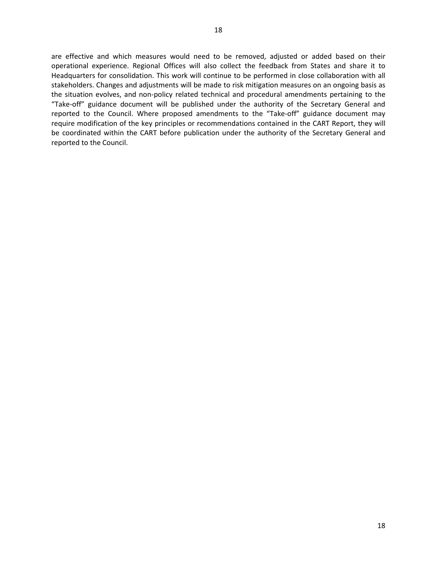are effective and which measures would need to be removed, adjusted or added based on their operational experience. Regional Offices will also collect the feedback from States and share it to Headquarters for consolidation. This work will continue to be performed in close collaboration with all stakeholders. Changes and adjustments will be made to risk mitigation measures on an ongoing basis as the situation evolves, and non-policy related technical and procedural amendments pertaining to the "Take-off" guidance document will be published under the authority of the Secretary General and reported to the Council. Where proposed amendments to the "Take-off" guidance document may require modification of the key principles or recommendations contained in the CART Report, they will be coordinated within the CART before publication under the authority of the Secretary General and reported to the Council.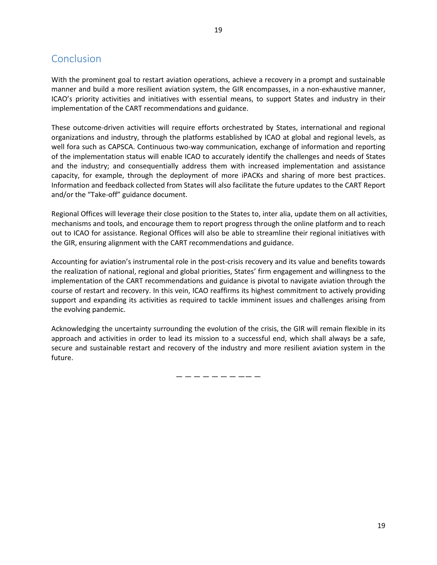<span id="page-18-0"></span>With the prominent goal to restart aviation operations, achieve a recovery in a prompt and sustainable manner and build a more resilient aviation system, the GIR encompasses, in a non-exhaustive manner, ICAO's priority activities and initiatives with essential means, to support States and industry in their implementation of the CART recommendations and guidance.

These outcome-driven activities will require efforts orchestrated by States, international and regional organizations and industry, through the platforms established by ICAO at global and regional levels, as well fora such as CAPSCA. Continuous two-way communication, exchange of information and reporting of the implementation status will enable ICAO to accurately identify the challenges and needs of States and the industry; and consequentially address them with increased implementation and assistance capacity, for example, through the deployment of more iPACKs and sharing of more best practices. Information and feedback collected from States will also facilitate the future updates to the CART Report and/or the "Take-off" guidance document.

Regional Offices will leverage their close position to the States to, inter alia, update them on all activities, mechanisms and tools, and encourage them to report progress through the online platform and to reach out to ICAO for assistance. Regional Offices will also be able to streamline their regional initiatives with the GIR, ensuring alignment with the CART recommendations and guidance.

Accounting for aviation's instrumental role in the post-crisis recovery and its value and benefits towards the realization of national, regional and global priorities, States' firm engagement and willingness to the implementation of the CART recommendations and guidance is pivotal to navigate aviation through the course of restart and recovery. In this vein, ICAO reaffirms its highest commitment to actively providing support and expanding its activities as required to tackle imminent issues and challenges arising from the evolving pandemic.

Acknowledging the uncertainty surrounding the evolution of the crisis, the GIR will remain flexible in its approach and activities in order to lead its mission to a successful end, which shall always be a safe, secure and sustainable restart and recovery of the industry and more resilient aviation system in the future.

— — — — — — — —— —